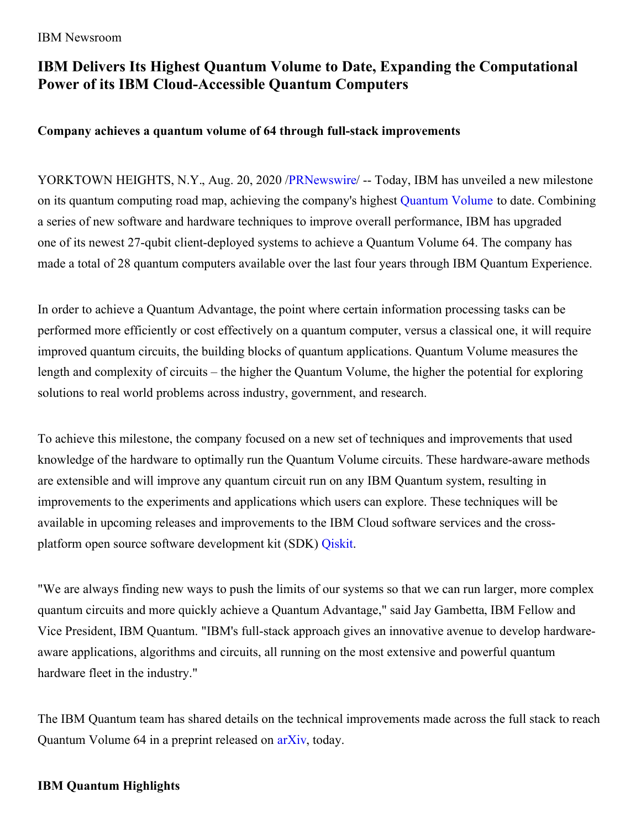#### IBM Newsroom

# **IBM Delivers Its Highest Quantum Volume to Date, Expanding the Computational Power of its IBM Cloud-Accessible Quantum Computers**

#### **Company achieves a quantum volume of 64 through full-stack improvements**

YORKTOWN HEIGHTS, N.Y., Aug. 20, 2020 [/PRNewswire](http://www.prnewswire.com/)/ -- Today, IBM has unveiled a new milestone on its quantum computing road map, achieving the company's highest [Quantum](https://c212.net/c/link/?t=0&l=en&o=2891787-1&h=2358308555&u=https%3A%2F%2Fmedium.com%2Fqiskit%2Fwhat-is-quantum-volume-anyway-a4dff801c36f&a=Quantum+Volume) Volume to date. Combining a series of new software and hardware techniques to improve overall performance, IBM has upgraded one of its newest 27-qubit client-deployed systems to achieve a Quantum Volume 64. The company has made a total of 28 quantum computers available over the last four years through IBM Quantum Experience.

In order to achieve a Quantum Advantage, the point where certain information processing tasks can be performed more efficiently or cost effectively on a quantum computer, versus a classical one, it will require improved quantum circuits, the building blocks of quantum applications. Quantum Volume measures the length and complexity of circuits – the higher the Quantum Volume, the higher the potential for exploring solutions to real world problems across industry, government, and research.

To achieve this milestone, the company focused on a new set of techniques and improvements that used knowledge of the hardware to optimally run the Quantum Volume circuits. These hardware-aware methods are extensible and will improve any quantum circuit run on any IBM Quantum system, resulting in improvements to the experiments and applications which users can explore. These techniques will be available in upcoming releases and improvements to the IBM Cloud software services and the crossplatform open source software development kit (SDK) [Qiskit](https://c212.net/c/link/?t=0&l=en&o=2891787-1&h=379494838&u=https%3A%2F%2Fqiskit.org%2F&a=Qiskit).

"We are always finding new ways to push the limits of our systems so that we can run larger, more complex quantum circuits and more quickly achieve a Quantum Advantage," said Jay Gambetta, IBM Fellow and Vice President, IBM Quantum. "IBM's full-stack approach gives an innovative avenue to develop hardwareaware applications, algorithms and circuits, all running on the most extensive and powerful quantum hardware fleet in the industry."

The IBM Quantum team has shared details on the technical improvements made across the full stack to reach Quantum Volume 64 in a preprint released on [arXiv](https://c212.net/c/link/?t=0&l=en&o=2891787-1&h=3697872955&u=https%3A%2F%2Farxiv.org%2Fabs%2F2008.08571&a=arXiv), today.

### **IBM Quantum Highlights**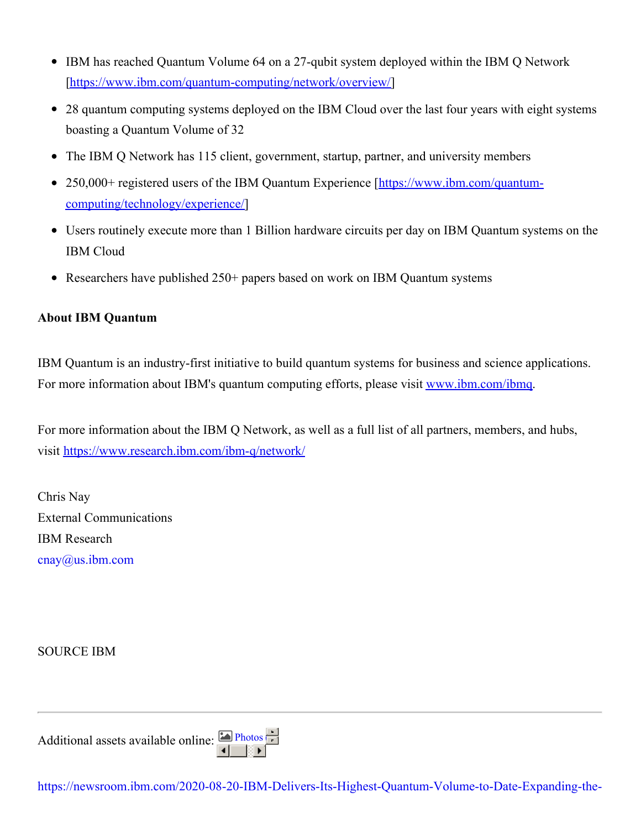- IBM has reached Quantum Volume 64 on a 27-qubit system deployed within the IBM Q Network [[https://www.ibm.com/quantum-computing/network/overview/](https://c212.net/c/link/?t=0&l=en&o=2891787-1&h=3894731032&u=https%3A%2F%2Fwww.ibm.com%2Fquantum-computing%2Fnetwork%2Foverview%2F&a=https%3A%2F%2Fwww.ibm.com%2Fquantum-computing%2Fnetwork%2Foverview%2F)]
- 28 quantum computing systems deployed on the IBM Cloud over the last four years with eight systems boasting a Quantum Volume of 32
- The IBM Q Network has 115 client, government, startup, partner, and university members
- 250,000+ registered users of the IBM Quantum Experience [https://www.ibm.com/quantum[computing/technology/experience/\]](https://c212.net/c/link/?t=0&l=en&o=2891787-1&h=698136989&u=https%3A%2F%2Fwww.ibm.com%2Fquantum-computing%2Ftechnology%2Fexperience%2F&a=https%3A%2F%2Fwww.ibm.com%2Fquantum-computing%2Ftechnology%2Fexperience%2F)
- Users routinely execute more than 1 Billion hardware circuits per day on IBM Quantum systems on the IBM Cloud
- Researchers have published 250+ papers based on work on IBM Quantum systems

## **About IBM Quantum**

IBM Quantum is an industry-first initiative to build quantum systems for business and science applications. For more information about IBM's quantum computing efforts, please visit [www.ibm.com/ibmq](https://c212.net/c/link/?t=0&l=en&o=2891787-1&h=4182153363&u=http%3A%2F%2Fwww.ibm.com%2Fibmq&a=www.ibm.com%2Fibmq).

For more information about the IBM Q Network, as well as a full list of all partners, members, and hubs, visit [https://www.research.ibm.com/ibm-q/network/](https://c212.net/c/link/?t=0&l=en&o=2891787-1&h=1199662318&u=https%3A%2F%2Fc212.net%2Fc%2Flink%2F%3Ft%3D0%26l%3Den%26o%3D2871545-1%26h%3D1888905710%26u%3Dhttps%253A%252F%252Fwww.research.ibm.com%252Fibm-q%252Fnetwork%252F%26a%3Dhttps%253A%252F%252Fwww.research.ibm.com%252Fibm-q%252Fnetwork%252F&a=https%3A%2F%2Fwww.research.ibm.com%2Fibm-q%2Fnetwork%2F)

Chris Nay External Communications IBM Research [cnay@us.ibm.com](mailto:cnay@us.ibm.com)

SOURCE IBM

| Additional assets available online: $\boxed{\triangle P \text{hotos}}$ |  |  |
|------------------------------------------------------------------------|--|--|
|                                                                        |  |  |

[https://newsroom.ibm.com/2020-08-20-IBM-Delivers-Its-Highest-Quantum-Volume-to-Date-Expanding-the-](https://newsroom.ibm.com/2020-08-20-IBM-Delivers-Its-Highest-Quantum-Volume-to-Date-Expanding-the-Computational-Power-of-its-IBM-Cloud-Accessible-Quantum-Computers)